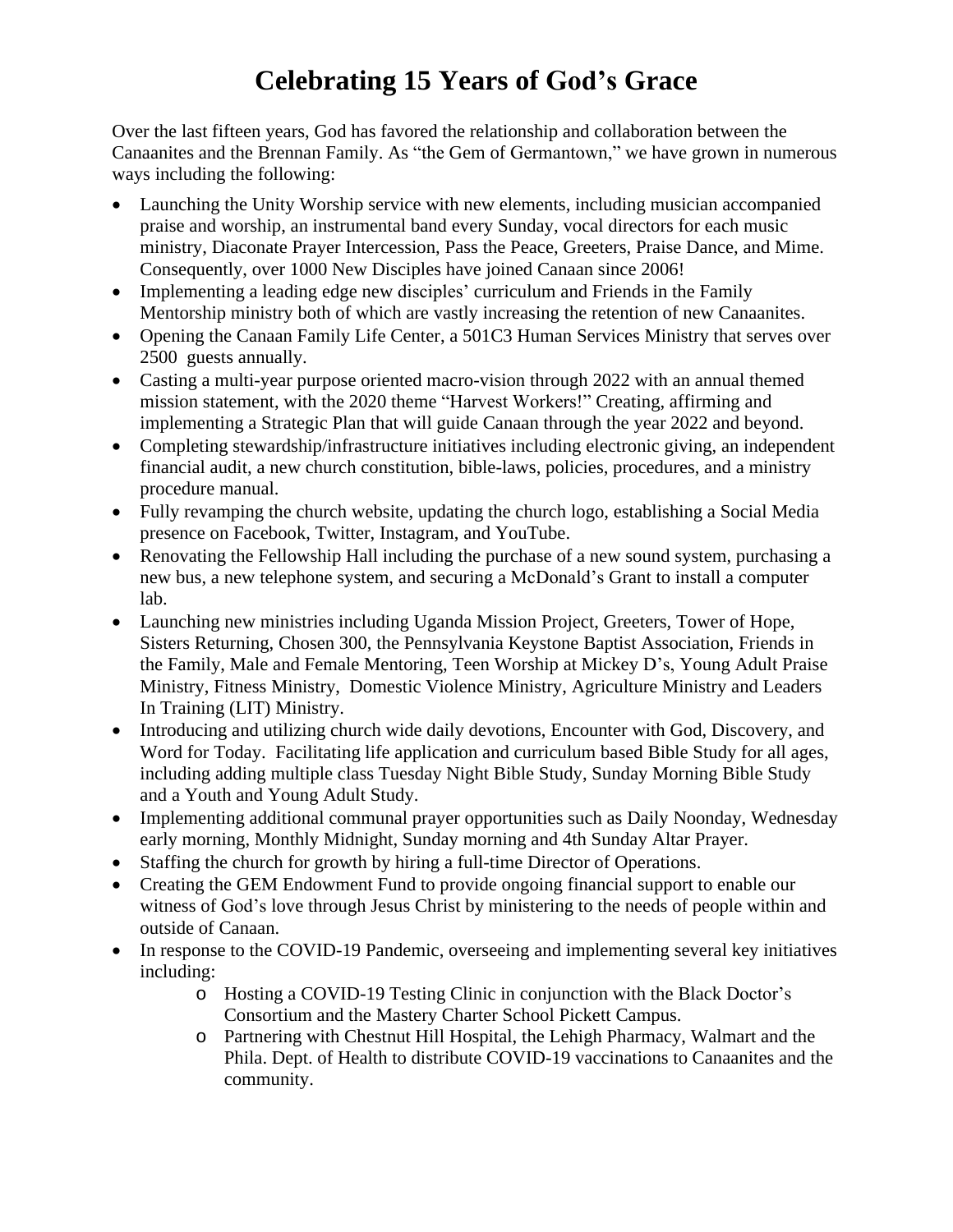## **Celebrating 15 Years of God's Grace**

Over the last fifteen years, God has favored the relationship and collaboration between the Canaanites and the Brennan Family. As "the Gem of Germantown," we have grown in numerous ways including the following:

- Launching the Unity Worship service with new elements, including musician accompanied praise and worship, an instrumental band every Sunday, vocal directors for each music ministry, Diaconate Prayer Intercession, Pass the Peace, Greeters, Praise Dance, and Mime. Consequently, over 1000 New Disciples have joined Canaan since 2006!
- Implementing a leading edge new disciples' curriculum and Friends in the Family Mentorship ministry both of which are vastly increasing the retention of new Canaanites.
- Opening the Canaan Family Life Center, a 501C3 Human Services Ministry that serves over 2500 guests annually.
- Casting a multi-year purpose oriented macro-vision through 2022 with an annual themed mission statement, with the 2020 theme "Harvest Workers!" Creating, affirming and implementing a Strategic Plan that will guide Canaan through the year 2022 and beyond.
- Completing stewardship/infrastructure initiatives including electronic giving, an independent financial audit, a new church constitution, bible-laws, policies, procedures, and a ministry procedure manual.
- Fully revamping the church website, updating the church logo, establishing a Social Media presence on Facebook, Twitter, Instagram, and YouTube.
- Renovating the Fellowship Hall including the purchase of a new sound system, purchasing a new bus, a new telephone system, and securing a McDonald's Grant to install a computer lab.
- Launching new ministries including Uganda Mission Project, Greeters, Tower of Hope, Sisters Returning, Chosen 300, the Pennsylvania Keystone Baptist Association, Friends in the Family, Male and Female Mentoring, Teen Worship at Mickey D's, Young Adult Praise Ministry, Fitness Ministry, Domestic Violence Ministry, Agriculture Ministry and Leaders In Training (LIT) Ministry.
- Introducing and utilizing church wide daily devotions, Encounter with God, Discovery, and Word for Today. Facilitating life application and curriculum based Bible Study for all ages, including adding multiple class Tuesday Night Bible Study, Sunday Morning Bible Study and a Youth and Young Adult Study.
- Implementing additional communal prayer opportunities such as Daily Noonday, Wednesday early morning, Monthly Midnight, Sunday morning and 4th Sunday Altar Prayer.
- Staffing the church for growth by hiring a full-time Director of Operations.
- Creating the GEM Endowment Fund to provide ongoing financial support to enable our witness of God's love through Jesus Christ by ministering to the needs of people within and outside of Canaan.
- In response to the COVID-19 Pandemic, overseeing and implementing several key initiatives including:
	- o Hosting a COVID-19 Testing Clinic in conjunction with the Black Doctor's Consortium and the Mastery Charter School Pickett Campus.
	- o Partnering with Chestnut Hill Hospital, the Lehigh Pharmacy, Walmart and the Phila. Dept. of Health to distribute COVID-19 vaccinations to Canaanites and the community.